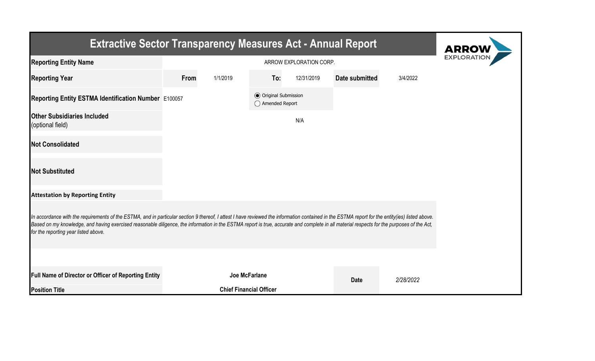| <b>Extractive Sector Transparency Measures Act - Annual Report</b>                                                                                                                                                                                                                                                                                                                                                                    |      |                                |                                                  |            |                       |           |  |  |  |  |
|---------------------------------------------------------------------------------------------------------------------------------------------------------------------------------------------------------------------------------------------------------------------------------------------------------------------------------------------------------------------------------------------------------------------------------------|------|--------------------------------|--------------------------------------------------|------------|-----------------------|-----------|--|--|--|--|
| <b>Reporting Entity Name</b>                                                                                                                                                                                                                                                                                                                                                                                                          |      | <b>EXPLORATIO</b>              |                                                  |            |                       |           |  |  |  |  |
| <b>Reporting Year</b>                                                                                                                                                                                                                                                                                                                                                                                                                 | From | 1/1/2019                       | To:                                              | 12/31/2019 | <b>Date submitted</b> | 3/4/2022  |  |  |  |  |
| Reporting Entity ESTMA Identification Number E100057                                                                                                                                                                                                                                                                                                                                                                                  |      |                                | <b>◎</b> Original Submission<br>◯ Amended Report |            |                       |           |  |  |  |  |
| <b>Other Subsidiaries Included</b><br>(optional field)                                                                                                                                                                                                                                                                                                                                                                                |      |                                |                                                  | N/A        |                       |           |  |  |  |  |
| <b>Not Consolidated</b>                                                                                                                                                                                                                                                                                                                                                                                                               |      |                                |                                                  |            |                       |           |  |  |  |  |
| <b>Not Substituted</b>                                                                                                                                                                                                                                                                                                                                                                                                                |      |                                |                                                  |            |                       |           |  |  |  |  |
| <b>Attestation by Reporting Entity</b>                                                                                                                                                                                                                                                                                                                                                                                                |      |                                |                                                  |            |                       |           |  |  |  |  |
| In accordance with the requirements of the ESTMA, and in particular section 9 thereof, I attest I have reviewed the information contained in the ESTMA report for the entity(ies) listed above.<br>Based on my knowledge, and having exercised reasonable diligence, the information in the ESTMA report is true, accurate and complete in all material respects for the purposes of the Act,<br>for the reporting year listed above. |      |                                |                                                  |            |                       |           |  |  |  |  |
|                                                                                                                                                                                                                                                                                                                                                                                                                                       |      |                                |                                                  |            |                       |           |  |  |  |  |
| Full Name of Director or Officer of Reporting Entity                                                                                                                                                                                                                                                                                                                                                                                  |      | Joe McFarlane                  |                                                  |            | <b>Date</b>           | 2/28/2022 |  |  |  |  |
| <b>Position Title</b>                                                                                                                                                                                                                                                                                                                                                                                                                 |      | <b>Chief Financial Officer</b> |                                                  |            |                       |           |  |  |  |  |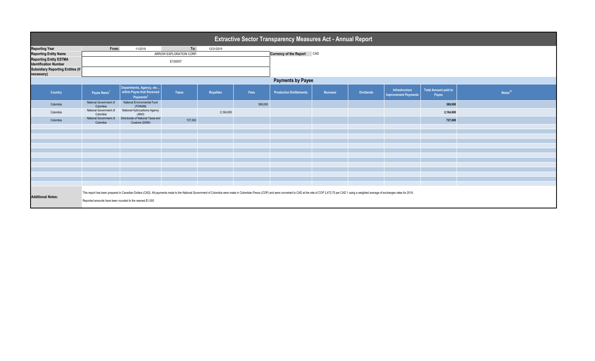| <b>Extractive Sector Transparency Measures Act - Annual Report</b> |                                                                                                                                                                                                                                                                                             |                                                                                 |                         |                  |         |                                |                |                  |                                               |                                      |                     |  |  |
|--------------------------------------------------------------------|---------------------------------------------------------------------------------------------------------------------------------------------------------------------------------------------------------------------------------------------------------------------------------------------|---------------------------------------------------------------------------------|-------------------------|------------------|---------|--------------------------------|----------------|------------------|-----------------------------------------------|--------------------------------------|---------------------|--|--|
| <b>Reporting Year</b>                                              | From:                                                                                                                                                                                                                                                                                       | 1/1/2019                                                                        | To:                     | 12/31/2019       |         |                                |                |                  |                                               |                                      |                     |  |  |
| <b>Reporting Entity Name</b>                                       |                                                                                                                                                                                                                                                                                             |                                                                                 | ARROW EXPLORATION CORP. |                  |         | Currency of the Report CAD     |                |                  |                                               |                                      |                     |  |  |
| <b>Reporting Entity ESTMA</b><br><b>Identification Number</b>      |                                                                                                                                                                                                                                                                                             |                                                                                 |                         |                  |         |                                |                |                  |                                               |                                      |                     |  |  |
| <b>Subsidiary Reporting Entities (if</b><br>necessary)             |                                                                                                                                                                                                                                                                                             |                                                                                 |                         |                  |         |                                |                |                  |                                               |                                      |                     |  |  |
|                                                                    | <b>Payments by Payee</b>                                                                                                                                                                                                                                                                    |                                                                                 |                         |                  |         |                                |                |                  |                                               |                                      |                     |  |  |
| Country                                                            | Payee Name <sup>1</sup>                                                                                                                                                                                                                                                                     | Departments, Agency, etc<br>within Payee that Received<br>Payments <sup>2</sup> | <b>Taxes</b>            | <b>Royalties</b> | Fees    | <b>Production Entitlements</b> | <b>Bonuses</b> | <b>Dividends</b> | Infrastructure<br><b>Improvement Payments</b> | <b>Total Amount paid to</b><br>Payee | Notes <sup>34</sup> |  |  |
| Colombia                                                           | National Government of<br>Colombia                                                                                                                                                                                                                                                          | National Environmental Fund<br>(FONAM)                                          |                         |                  | 369,000 |                                |                |                  |                                               | 369,000                              |                     |  |  |
| Colombia                                                           | National Government of<br>Colombia                                                                                                                                                                                                                                                          | National Hydrocarbons Agency<br>(ANH)                                           |                         | 2,164,000        |         |                                |                |                  |                                               | 2,164,000                            |                     |  |  |
| Colombia                                                           | National Government of<br>Colombia                                                                                                                                                                                                                                                          | Directorate of National Taxes and<br>Customs (DIAN)                             | 727,000                 |                  |         |                                |                |                  |                                               | 727,000                              |                     |  |  |
|                                                                    |                                                                                                                                                                                                                                                                                             |                                                                                 |                         |                  |         |                                |                |                  |                                               |                                      |                     |  |  |
|                                                                    |                                                                                                                                                                                                                                                                                             |                                                                                 |                         |                  |         |                                |                |                  |                                               |                                      |                     |  |  |
|                                                                    |                                                                                                                                                                                                                                                                                             |                                                                                 |                         |                  |         |                                |                |                  |                                               |                                      |                     |  |  |
|                                                                    |                                                                                                                                                                                                                                                                                             |                                                                                 |                         |                  |         |                                |                |                  |                                               |                                      |                     |  |  |
|                                                                    |                                                                                                                                                                                                                                                                                             |                                                                                 |                         |                  |         |                                |                |                  |                                               |                                      |                     |  |  |
|                                                                    |                                                                                                                                                                                                                                                                                             |                                                                                 |                         |                  |         |                                |                |                  |                                               |                                      |                     |  |  |
|                                                                    |                                                                                                                                                                                                                                                                                             |                                                                                 |                         |                  |         |                                |                |                  |                                               |                                      |                     |  |  |
|                                                                    |                                                                                                                                                                                                                                                                                             |                                                                                 |                         |                  |         |                                |                |                  |                                               |                                      |                     |  |  |
|                                                                    |                                                                                                                                                                                                                                                                                             |                                                                                 |                         |                  |         |                                |                |                  |                                               |                                      |                     |  |  |
|                                                                    |                                                                                                                                                                                                                                                                                             |                                                                                 |                         |                  |         |                                |                |                  |                                               |                                      |                     |  |  |
| <b>Additional Notes:</b>                                           | This report has been prepared in Canadian Dollars (CAD). All payments made to the National Government of Colombia were made in Colombian Pesos (COP) and were converted to CAD at the rate of COP 2,472.75 per CAD 1 using a w<br>Reported amounts have been rounded to the nearest \$1,000 |                                                                                 |                         |                  |         |                                |                |                  |                                               |                                      |                     |  |  |